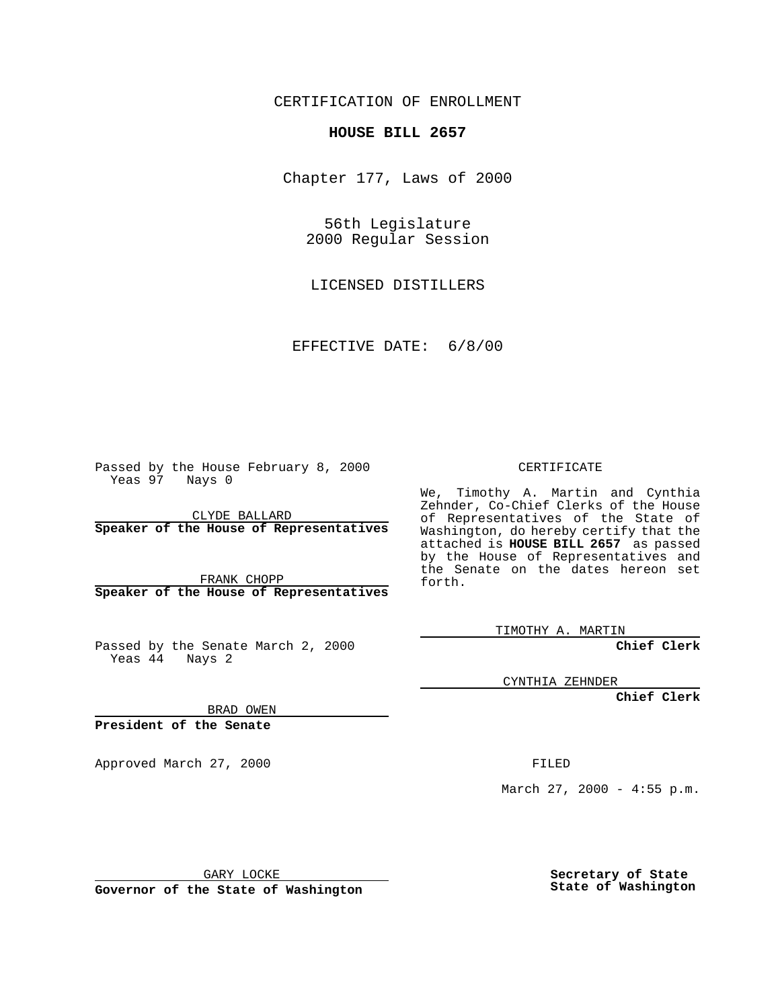CERTIFICATION OF ENROLLMENT

## **HOUSE BILL 2657**

Chapter 177, Laws of 2000

56th Legislature 2000 Regular Session

LICENSED DISTILLERS

EFFECTIVE DATE: 6/8/00

Passed by the House February 8, 2000 Yeas 97 Nays 0

CLYDE BALLARD **Speaker of the House of Representatives**

FRANK CHOPP **Speaker of the House of Representatives**

Passed by the Senate March 2, 2000 Yeas 44 Nays 2

CERTIFICATE

We, Timothy A. Martin and Cynthia Zehnder, Co-Chief Clerks of the House of Representatives of the State of Washington, do hereby certify that the attached is **HOUSE BILL 2657** as passed by the House of Representatives and the Senate on the dates hereon set forth.

TIMOTHY A. MARTIN

**Chief Clerk**

CYNTHIA ZEHNDER

**Chief Clerk**

BRAD OWEN

**President of the Senate**

Approved March 27, 2000 FILED

March 27, 2000 - 4:55 p.m.

GARY LOCKE

**Governor of the State of Washington**

**Secretary of State State of Washington**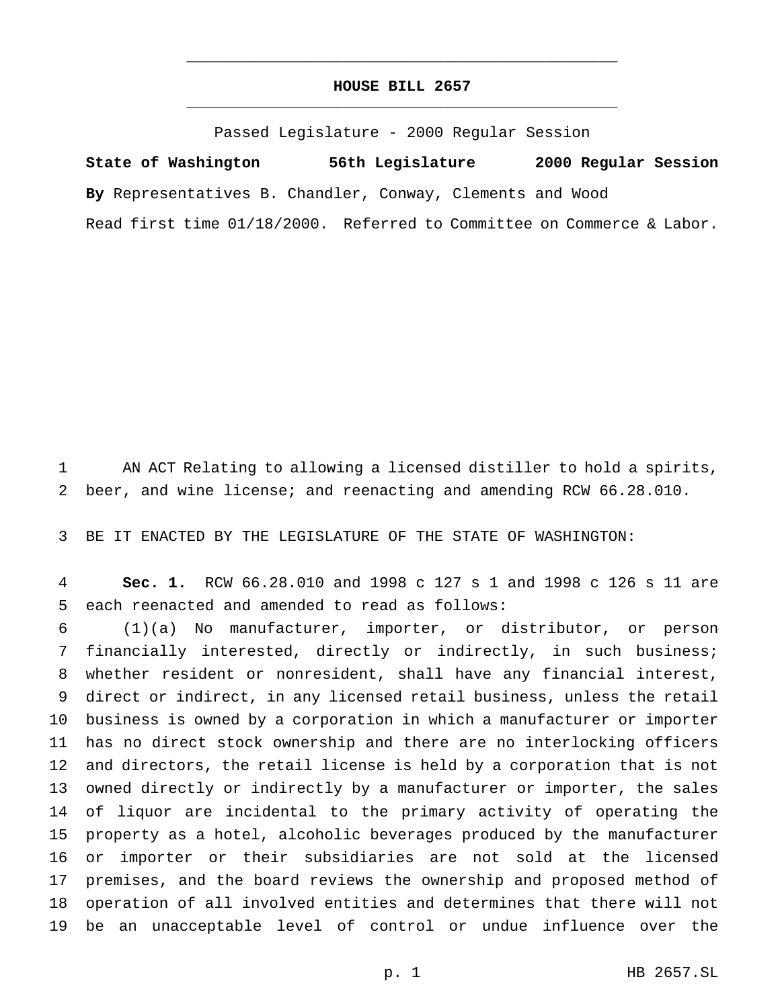## **HOUSE BILL 2657** \_\_\_\_\_\_\_\_\_\_\_\_\_\_\_\_\_\_\_\_\_\_\_\_\_\_\_\_\_\_\_\_\_\_\_\_\_\_\_\_\_\_\_\_\_\_\_

\_\_\_\_\_\_\_\_\_\_\_\_\_\_\_\_\_\_\_\_\_\_\_\_\_\_\_\_\_\_\_\_\_\_\_\_\_\_\_\_\_\_\_\_\_\_\_

Passed Legislature - 2000 Regular Session

**State of Washington 56th Legislature 2000 Regular Session By** Representatives B. Chandler, Conway, Clements and Wood Read first time 01/18/2000. Referred to Committee on Commerce & Labor.

 AN ACT Relating to allowing a licensed distiller to hold a spirits, beer, and wine license; and reenacting and amending RCW 66.28.010.

BE IT ENACTED BY THE LEGISLATURE OF THE STATE OF WASHINGTON:

 **Sec. 1.** RCW 66.28.010 and 1998 c 127 s 1 and 1998 c 126 s 11 are each reenacted and amended to read as follows:

 (1)(a) No manufacturer, importer, or distributor, or person financially interested, directly or indirectly, in such business; whether resident or nonresident, shall have any financial interest, direct or indirect, in any licensed retail business, unless the retail business is owned by a corporation in which a manufacturer or importer has no direct stock ownership and there are no interlocking officers and directors, the retail license is held by a corporation that is not owned directly or indirectly by a manufacturer or importer, the sales of liquor are incidental to the primary activity of operating the property as a hotel, alcoholic beverages produced by the manufacturer or importer or their subsidiaries are not sold at the licensed premises, and the board reviews the ownership and proposed method of operation of all involved entities and determines that there will not be an unacceptable level of control or undue influence over the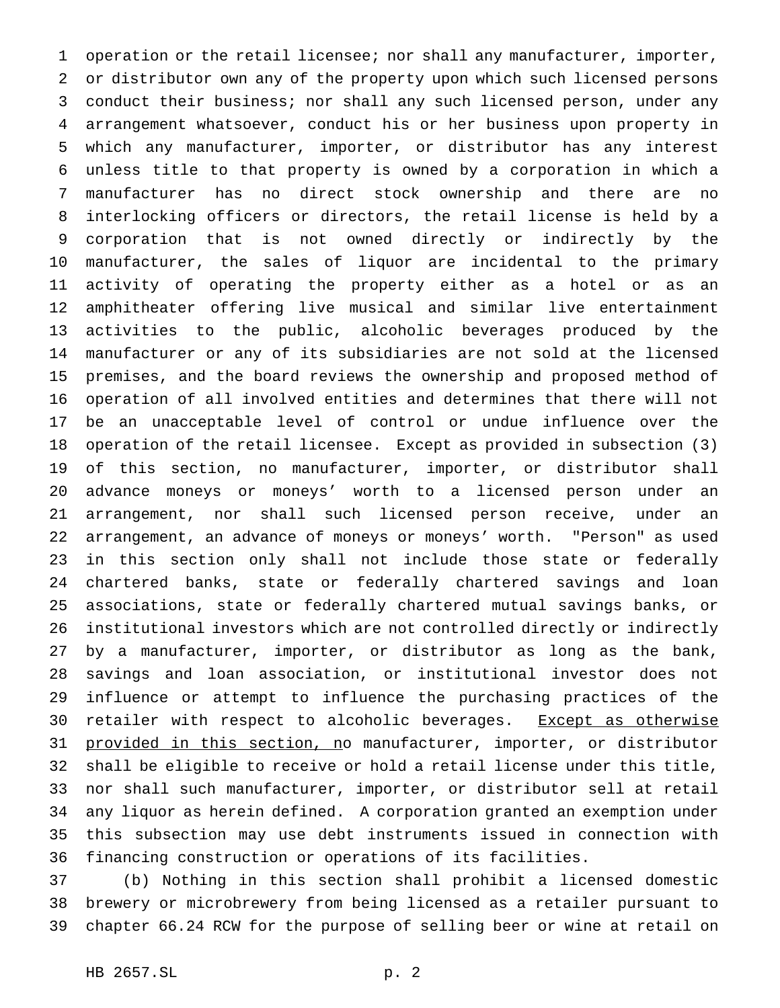operation or the retail licensee; nor shall any manufacturer, importer, or distributor own any of the property upon which such licensed persons conduct their business; nor shall any such licensed person, under any arrangement whatsoever, conduct his or her business upon property in which any manufacturer, importer, or distributor has any interest unless title to that property is owned by a corporation in which a manufacturer has no direct stock ownership and there are no interlocking officers or directors, the retail license is held by a corporation that is not owned directly or indirectly by the manufacturer, the sales of liquor are incidental to the primary activity of operating the property either as a hotel or as an amphitheater offering live musical and similar live entertainment activities to the public, alcoholic beverages produced by the manufacturer or any of its subsidiaries are not sold at the licensed premises, and the board reviews the ownership and proposed method of operation of all involved entities and determines that there will not be an unacceptable level of control or undue influence over the operation of the retail licensee. Except as provided in subsection (3) of this section, no manufacturer, importer, or distributor shall advance moneys or moneys' worth to a licensed person under an arrangement, nor shall such licensed person receive, under an arrangement, an advance of moneys or moneys' worth. "Person" as used in this section only shall not include those state or federally chartered banks, state or federally chartered savings and loan associations, state or federally chartered mutual savings banks, or institutional investors which are not controlled directly or indirectly by a manufacturer, importer, or distributor as long as the bank, savings and loan association, or institutional investor does not influence or attempt to influence the purchasing practices of the 30 retailer with respect to alcoholic beverages. Except as otherwise 31 provided in this section, no manufacturer, importer, or distributor shall be eligible to receive or hold a retail license under this title, nor shall such manufacturer, importer, or distributor sell at retail any liquor as herein defined. A corporation granted an exemption under this subsection may use debt instruments issued in connection with financing construction or operations of its facilities.

 (b) Nothing in this section shall prohibit a licensed domestic brewery or microbrewery from being licensed as a retailer pursuant to chapter 66.24 RCW for the purpose of selling beer or wine at retail on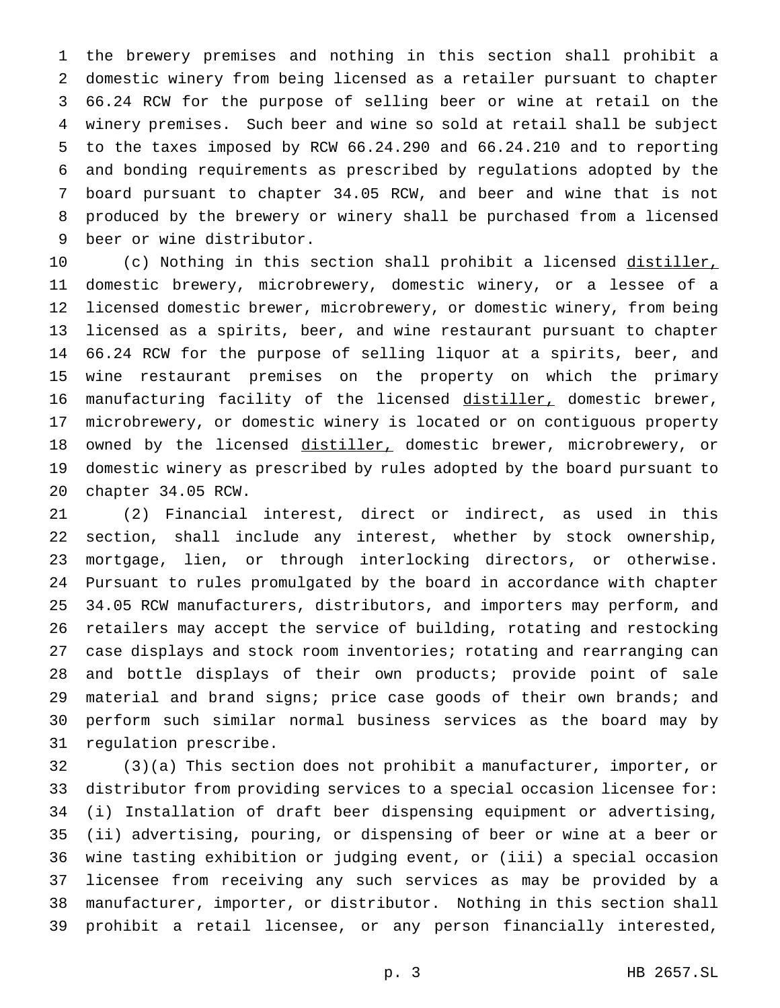the brewery premises and nothing in this section shall prohibit a domestic winery from being licensed as a retailer pursuant to chapter 66.24 RCW for the purpose of selling beer or wine at retail on the winery premises. Such beer and wine so sold at retail shall be subject to the taxes imposed by RCW 66.24.290 and 66.24.210 and to reporting and bonding requirements as prescribed by regulations adopted by the board pursuant to chapter 34.05 RCW, and beer and wine that is not produced by the brewery or winery shall be purchased from a licensed beer or wine distributor.

10 (c) Nothing in this section shall prohibit a licensed distiller, domestic brewery, microbrewery, domestic winery, or a lessee of a licensed domestic brewer, microbrewery, or domestic winery, from being licensed as a spirits, beer, and wine restaurant pursuant to chapter 66.24 RCW for the purpose of selling liquor at a spirits, beer, and wine restaurant premises on the property on which the primary 16 manufacturing facility of the licensed distiller, domestic brewer, microbrewery, or domestic winery is located or on contiguous property 18 owned by the licensed distiller, domestic brewer, microbrewery, or domestic winery as prescribed by rules adopted by the board pursuant to chapter 34.05 RCW.

 (2) Financial interest, direct or indirect, as used in this section, shall include any interest, whether by stock ownership, mortgage, lien, or through interlocking directors, or otherwise. Pursuant to rules promulgated by the board in accordance with chapter 34.05 RCW manufacturers, distributors, and importers may perform, and retailers may accept the service of building, rotating and restocking case displays and stock room inventories; rotating and rearranging can and bottle displays of their own products; provide point of sale material and brand signs; price case goods of their own brands; and perform such similar normal business services as the board may by regulation prescribe.

 (3)(a) This section does not prohibit a manufacturer, importer, or distributor from providing services to a special occasion licensee for: (i) Installation of draft beer dispensing equipment or advertising, (ii) advertising, pouring, or dispensing of beer or wine at a beer or wine tasting exhibition or judging event, or (iii) a special occasion licensee from receiving any such services as may be provided by a manufacturer, importer, or distributor. Nothing in this section shall prohibit a retail licensee, or any person financially interested,